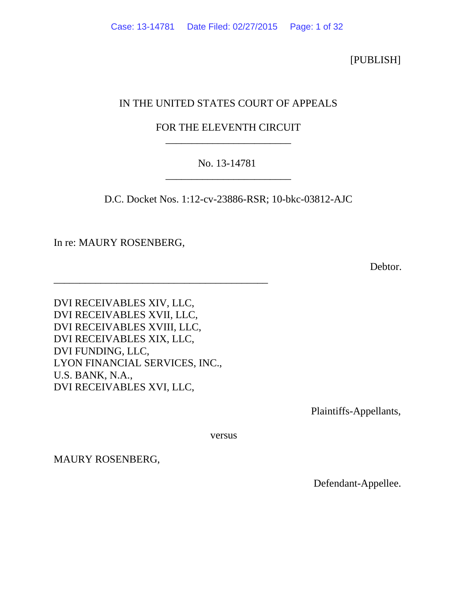[PUBLISH]

# IN THE UNITED STATES COURT OF APPEALS

# FOR THE ELEVENTH CIRCUIT \_\_\_\_\_\_\_\_\_\_\_\_\_\_\_\_\_\_\_\_\_\_\_\_

# No. 13-14781 \_\_\_\_\_\_\_\_\_\_\_\_\_\_\_\_\_\_\_\_\_\_\_\_

D.C. Docket Nos. 1:12-cv-23886-RSR; 10-bkc-03812-AJC

In re: MAURY ROSENBERG,

**Debtor.** Debtor.

DVI RECEIVABLES XIV, LLC, DVI RECEIVABLES XVII, LLC, DVI RECEIVABLES XVIII, LLC, DVI RECEIVABLES XIX, LLC, DVI FUNDING, LLC, LYON FINANCIAL SERVICES, INC., U.S. BANK, N.A., DVI RECEIVABLES XVI, LLC,

\_\_\_\_\_\_\_\_\_\_\_\_\_\_\_\_\_\_\_\_\_\_\_\_\_\_\_\_\_\_\_\_\_\_\_\_\_\_\_\_\_

Plaintiffs-Appellants,

versus

MAURY ROSENBERG,

Defendant-Appellee.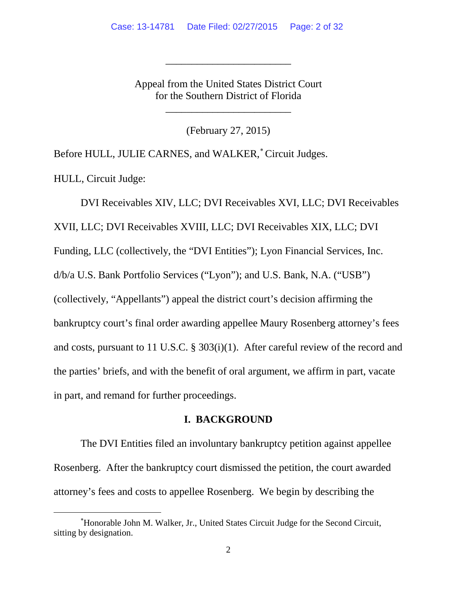Appeal from the United States District Court for the Southern District of Florida

\_\_\_\_\_\_\_\_\_\_\_\_\_\_\_\_\_\_\_\_\_\_\_\_

\_\_\_\_\_\_\_\_\_\_\_\_\_\_\_\_\_\_\_\_\_\_\_\_

(February 27, 2015)

Before HULL, JULIE CARNES, and WALKER,<sup>\*</sup> Circuit Judges.

HULL, Circuit Judge:

DVI Receivables XIV, LLC; DVI Receivables XVI, LLC; DVI Receivables XVII, LLC; DVI Receivables XVIII, LLC; DVI Receivables XIX, LLC; DVI Funding, LLC (collectively, the "DVI Entities"); Lyon Financial Services, Inc. d/b/a U.S. Bank Portfolio Services ("Lyon"); and U.S. Bank, N.A. ("USB") (collectively, "Appellants") appeal the district court's decision affirming the bankruptcy court's final order awarding appellee Maury Rosenberg attorney's fees and costs, pursuant to 11 U.S.C. § 303(i)(1). After careful review of the record and the parties' briefs, and with the benefit of oral argument, we affirm in part, vacate in part, and remand for further proceedings.

### **I. BACKGROUND**

The DVI Entities filed an involuntary bankruptcy petition against appellee Rosenberg. After the bankruptcy court dismissed the petition, the court awarded attorney's fees and costs to appellee Rosenberg. We begin by describing the

<span id="page-1-0"></span><sup>∗</sup> Honorable John M. Walker, Jr., United States Circuit Judge for the Second Circuit, sitting by designation.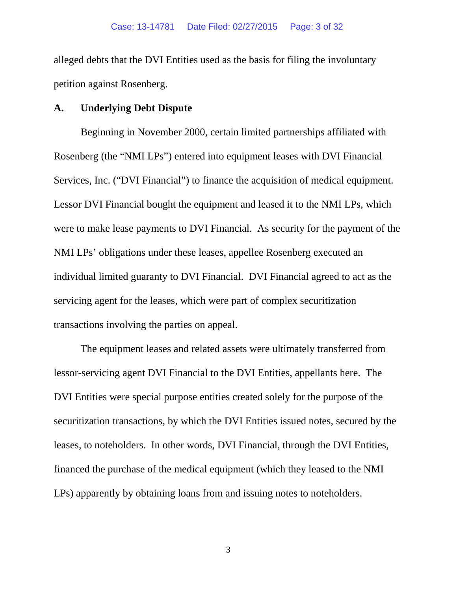alleged debts that the DVI Entities used as the basis for filing the involuntary petition against Rosenberg.

### **A. Underlying Debt Dispute**

Beginning in November 2000, certain limited partnerships affiliated with Rosenberg (the "NMI LPs") entered into equipment leases with DVI Financial Services, Inc. ("DVI Financial") to finance the acquisition of medical equipment. Lessor DVI Financial bought the equipment and leased it to the NMI LPs, which were to make lease payments to DVI Financial. As security for the payment of the NMI LPs' obligations under these leases, appellee Rosenberg executed an individual limited guaranty to DVI Financial. DVI Financial agreed to act as the servicing agent for the leases, which were part of complex securitization transactions involving the parties on appeal.

The equipment leases and related assets were ultimately transferred from lessor-servicing agent DVI Financial to the DVI Entities, appellants here. The DVI Entities were special purpose entities created solely for the purpose of the securitization transactions, by which the DVI Entities issued notes, secured by the leases, to noteholders. In other words, DVI Financial, through the DVI Entities, financed the purchase of the medical equipment (which they leased to the NMI LPs) apparently by obtaining loans from and issuing notes to noteholders.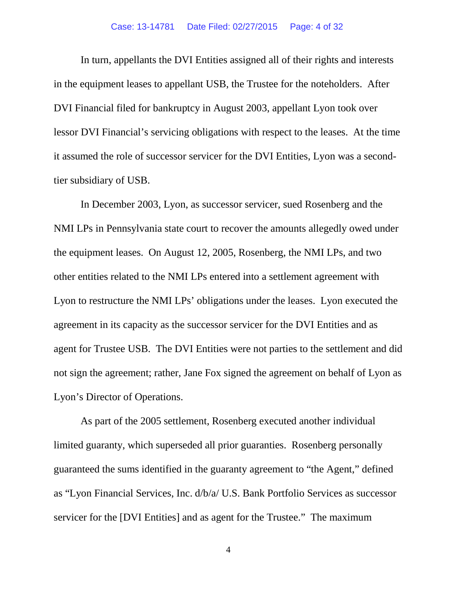In turn, appellants the DVI Entities assigned all of their rights and interests in the equipment leases to appellant USB, the Trustee for the noteholders. After DVI Financial filed for bankruptcy in August 2003, appellant Lyon took over lessor DVI Financial's servicing obligations with respect to the leases. At the time it assumed the role of successor servicer for the DVI Entities, Lyon was a secondtier subsidiary of USB.

In December 2003, Lyon, as successor servicer, sued Rosenberg and the NMI LPs in Pennsylvania state court to recover the amounts allegedly owed under the equipment leases. On August 12, 2005, Rosenberg, the NMI LPs, and two other entities related to the NMI LPs entered into a settlement agreement with Lyon to restructure the NMI LPs' obligations under the leases. Lyon executed the agreement in its capacity as the successor servicer for the DVI Entities and as agent for Trustee USB. The DVI Entities were not parties to the settlement and did not sign the agreement; rather, Jane Fox signed the agreement on behalf of Lyon as Lyon's Director of Operations.

As part of the 2005 settlement, Rosenberg executed another individual limited guaranty, which superseded all prior guaranties. Rosenberg personally guaranteed the sums identified in the guaranty agreement to "the Agent," defined as "Lyon Financial Services, Inc. d/b/a/ U.S. Bank Portfolio Services as successor servicer for the [DVI Entities] and as agent for the Trustee." The maximum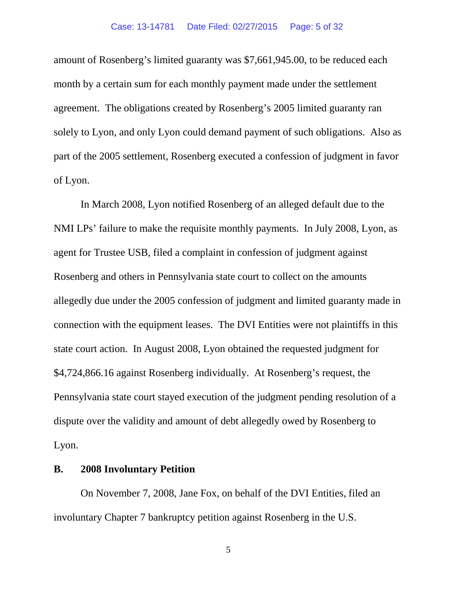amount of Rosenberg's limited guaranty was \$7,661,945.00, to be reduced each month by a certain sum for each monthly payment made under the settlement agreement. The obligations created by Rosenberg's 2005 limited guaranty ran solely to Lyon, and only Lyon could demand payment of such obligations. Also as part of the 2005 settlement, Rosenberg executed a confession of judgment in favor of Lyon.

In March 2008, Lyon notified Rosenberg of an alleged default due to the NMI LPs' failure to make the requisite monthly payments. In July 2008, Lyon, as agent for Trustee USB, filed a complaint in confession of judgment against Rosenberg and others in Pennsylvania state court to collect on the amounts allegedly due under the 2005 confession of judgment and limited guaranty made in connection with the equipment leases. The DVI Entities were not plaintiffs in this state court action. In August 2008, Lyon obtained the requested judgment for \$4,724,866.16 against Rosenberg individually. At Rosenberg's request, the Pennsylvania state court stayed execution of the judgment pending resolution of a dispute over the validity and amount of debt allegedly owed by Rosenberg to Lyon.

### **B. 2008 Involuntary Petition**

On November 7, 2008, Jane Fox, on behalf of the DVI Entities, filed an involuntary Chapter 7 bankruptcy petition against Rosenberg in the U.S.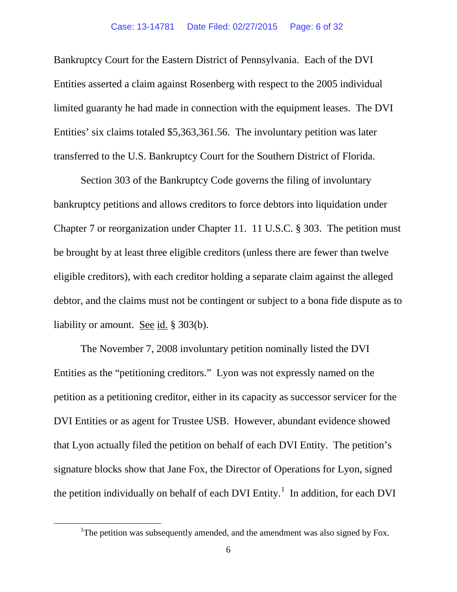Bankruptcy Court for the Eastern District of Pennsylvania. Each of the DVI Entities asserted a claim against Rosenberg with respect to the 2005 individual limited guaranty he had made in connection with the equipment leases. The DVI Entities' six claims totaled \$5,363,361.56. The involuntary petition was later transferred to the U.S. Bankruptcy Court for the Southern District of Florida.

Section 303 of the Bankruptcy Code governs the filing of involuntary bankruptcy petitions and allows creditors to force debtors into liquidation under Chapter 7 or reorganization under Chapter 11. 11 U.S.C. § 303. The petition must be brought by at least three eligible creditors (unless there are fewer than twelve eligible creditors), with each creditor holding a separate claim against the alleged debtor, and the claims must not be contingent or subject to a bona fide dispute as to liability or amount. See id. § 303(b).

The November 7, 2008 involuntary petition nominally listed the DVI Entities as the "petitioning creditors." Lyon was not expressly named on the petition as a petitioning creditor, either in its capacity as successor servicer for the DVI Entities or as agent for Trustee USB. However, abundant evidence showed that Lyon actually filed the petition on behalf of each DVI Entity. The petition's signature blocks show that Jane Fox, the Director of Operations for Lyon, signed the petition individually on behalf of each DVI Entity.<sup>[1](#page-5-0)</sup> In addition, for each DVI

<span id="page-5-0"></span><sup>&</sup>lt;u>1</u> <sup>1</sup>The petition was subsequently amended, and the amendment was also signed by Fox.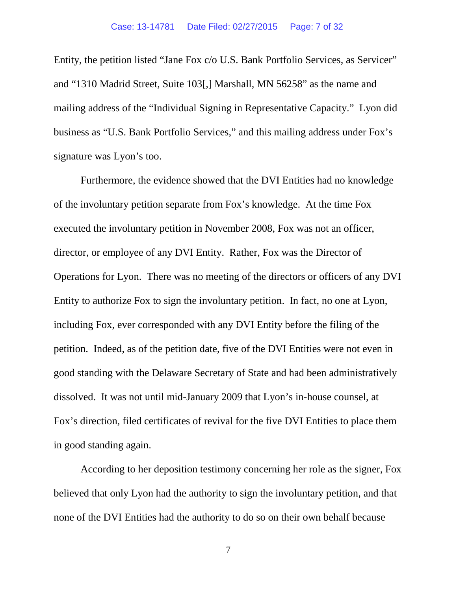Entity, the petition listed "Jane Fox c/o U.S. Bank Portfolio Services, as Servicer" and "1310 Madrid Street, Suite 103[,] Marshall, MN 56258" as the name and mailing address of the "Individual Signing in Representative Capacity." Lyon did business as "U.S. Bank Portfolio Services," and this mailing address under Fox's signature was Lyon's too.

Furthermore, the evidence showed that the DVI Entities had no knowledge of the involuntary petition separate from Fox's knowledge. At the time Fox executed the involuntary petition in November 2008, Fox was not an officer, director, or employee of any DVI Entity. Rather, Fox was the Director of Operations for Lyon. There was no meeting of the directors or officers of any DVI Entity to authorize Fox to sign the involuntary petition. In fact, no one at Lyon, including Fox, ever corresponded with any DVI Entity before the filing of the petition. Indeed, as of the petition date, five of the DVI Entities were not even in good standing with the Delaware Secretary of State and had been administratively dissolved. It was not until mid-January 2009 that Lyon's in-house counsel, at Fox's direction, filed certificates of revival for the five DVI Entities to place them in good standing again.

According to her deposition testimony concerning her role as the signer, Fox believed that only Lyon had the authority to sign the involuntary petition, and that none of the DVI Entities had the authority to do so on their own behalf because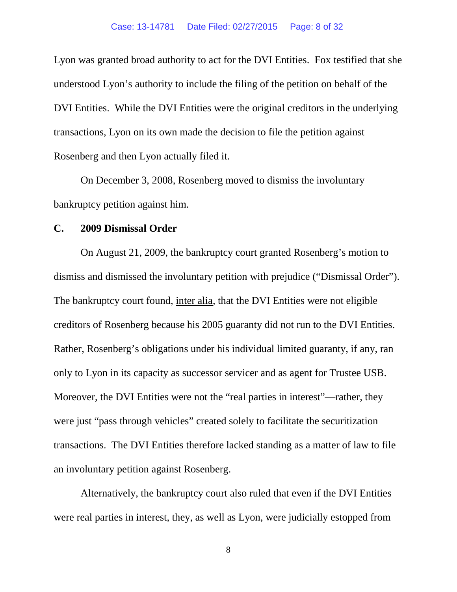Lyon was granted broad authority to act for the DVI Entities. Fox testified that she understood Lyon's authority to include the filing of the petition on behalf of the DVI Entities. While the DVI Entities were the original creditors in the underlying transactions, Lyon on its own made the decision to file the petition against Rosenberg and then Lyon actually filed it.

On December 3, 2008, Rosenberg moved to dismiss the involuntary bankruptcy petition against him.

### **C. 2009 Dismissal Order**

On August 21, 2009, the bankruptcy court granted Rosenberg's motion to dismiss and dismissed the involuntary petition with prejudice ("Dismissal Order"). The bankruptcy court found, inter alia, that the DVI Entities were not eligible creditors of Rosenberg because his 2005 guaranty did not run to the DVI Entities. Rather, Rosenberg's obligations under his individual limited guaranty, if any, ran only to Lyon in its capacity as successor servicer and as agent for Trustee USB. Moreover, the DVI Entities were not the "real parties in interest"—rather, they were just "pass through vehicles" created solely to facilitate the securitization transactions. The DVI Entities therefore lacked standing as a matter of law to file an involuntary petition against Rosenberg.

Alternatively, the bankruptcy court also ruled that even if the DVI Entities were real parties in interest, they, as well as Lyon, were judicially estopped from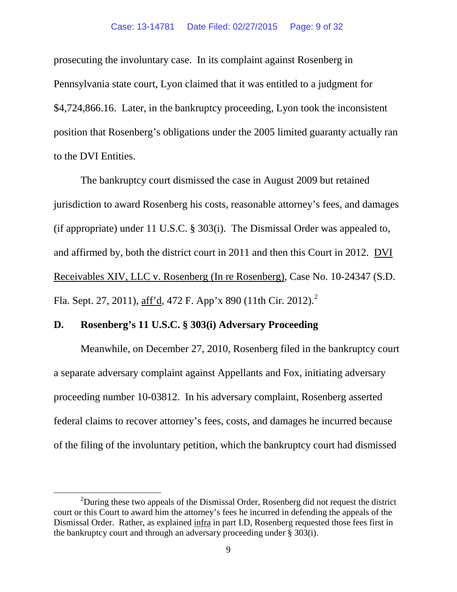prosecuting the involuntary case. In its complaint against Rosenberg in Pennsylvania state court, Lyon claimed that it was entitled to a judgment for \$4,724,866.16. Later, in the bankruptcy proceeding, Lyon took the inconsistent position that Rosenberg's obligations under the 2005 limited guaranty actually ran to the DVI Entities.

The bankruptcy court dismissed the case in August 2009 but retained jurisdiction to award Rosenberg his costs, reasonable attorney's fees, and damages (if appropriate) under 11 U.S.C. § 303(i). The Dismissal Order was appealed to, and affirmed by, both the district court in 2011 and then this Court in 2012. DVI Receivables XIV, LLC v. Rosenberg (In re Rosenberg), Case No. 10-24347 (S.D. Fla. Sept. [2](#page-8-0)7, 2011), aff'd, 472 F. App'x 890 (11th Cir. 2012).<sup>2</sup>

### **D. Rosenberg's 11 U.S.C. § 303(i) Adversary Proceeding**

Meanwhile, on December 27, 2010, Rosenberg filed in the bankruptcy court a separate adversary complaint against Appellants and Fox, initiating adversary proceeding number 10-03812. In his adversary complaint, Rosenberg asserted federal claims to recover attorney's fees, costs, and damages he incurred because of the filing of the involuntary petition, which the bankruptcy court had dismissed

<span id="page-8-0"></span> $\overline{\phantom{a}2}$  $2$ During these two appeals of the Dismissal Order, Rosenberg did not request the district court or this Court to award him the attorney's fees he incurred in defending the appeals of the Dismissal Order. Rather, as explained infra in part I.D, Rosenberg requested those fees first in the bankruptcy court and through an adversary proceeding under § 303(i).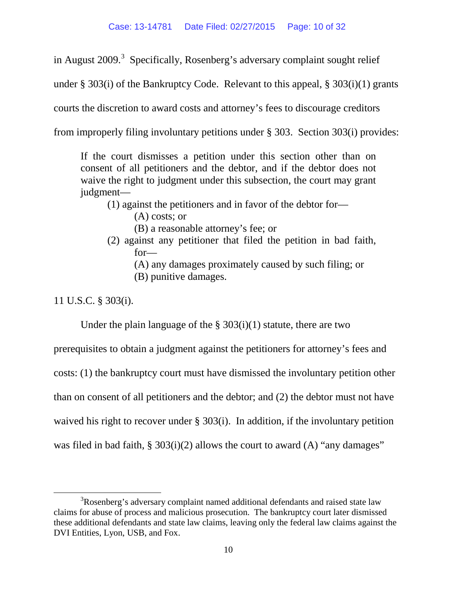in August 2009.<sup>[3](#page-9-0)</sup> Specifically, Rosenberg's adversary complaint sought relief

under § 303(i) of the Bankruptcy Code. Relevant to this appeal, § 303(i)(1) grants

courts the discretion to award costs and attorney's fees to discourage creditors

from improperly filing involuntary petitions under § 303. Section 303(i) provides:

If the court dismisses a petition under this section other than on consent of all petitioners and the debtor, and if the debtor does not waive the right to judgment under this subsection, the court may grant judgment—

(1) against the petitioners and in favor of the debtor for—

(A) costs; or

(B) a reasonable attorney's fee; or

- (2) against any petitioner that filed the petition in bad faith, for—
	- (A) any damages proximately caused by such filing; or
	- (B) punitive damages.

11 U.S.C. § 303(i).

Under the plain language of the  $\S 303(i)(1)$  statute, there are two

prerequisites to obtain a judgment against the petitioners for attorney's fees and costs: (1) the bankruptcy court must have dismissed the involuntary petition other than on consent of all petitioners and the debtor; and (2) the debtor must not have waived his right to recover under § 303(i). In addition, if the involuntary petition was filed in bad faith,  $\S 303(i)(2)$  allows the court to award (A) "any damages"

<span id="page-9-0"></span> $\frac{1}{3}$ <sup>3</sup>Rosenberg's adversary complaint named additional defendants and raised state law claims for abuse of process and malicious prosecution. The bankruptcy court later dismissed these additional defendants and state law claims, leaving only the federal law claims against the DVI Entities, Lyon, USB, and Fox.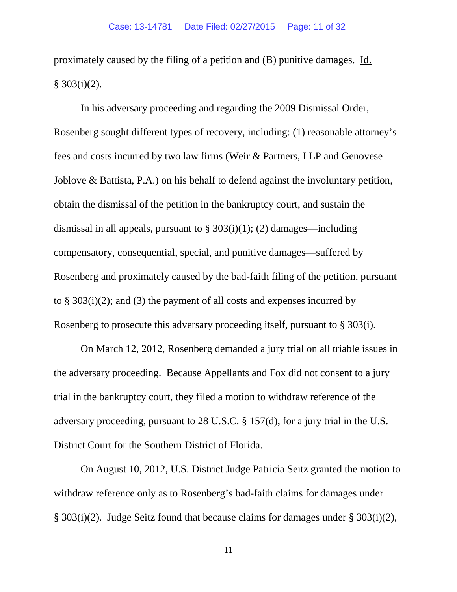proximately caused by the filing of a petition and (B) punitive damages. Id.  $§ 303(i)(2).$ 

In his adversary proceeding and regarding the 2009 Dismissal Order, Rosenberg sought different types of recovery, including: (1) reasonable attorney's fees and costs incurred by two law firms (Weir & Partners, LLP and Genovese Joblove & Battista, P.A.) on his behalf to defend against the involuntary petition, obtain the dismissal of the petition in the bankruptcy court, and sustain the dismissal in all appeals, pursuant to  $\S 303(i)(1)$ ; (2) damages—including compensatory, consequential, special, and punitive damages—suffered by Rosenberg and proximately caused by the bad-faith filing of the petition, pursuant to § 303(i)(2); and (3) the payment of all costs and expenses incurred by Rosenberg to prosecute this adversary proceeding itself, pursuant to § 303(i).

On March 12, 2012, Rosenberg demanded a jury trial on all triable issues in the adversary proceeding. Because Appellants and Fox did not consent to a jury trial in the bankruptcy court, they filed a motion to withdraw reference of the adversary proceeding, pursuant to 28 U.S.C. § 157(d), for a jury trial in the U.S. District Court for the Southern District of Florida.

On August 10, 2012, U.S. District Judge Patricia Seitz granted the motion to withdraw reference only as to Rosenberg's bad-faith claims for damages under § 303(i)(2). Judge Seitz found that because claims for damages under § 303(i)(2),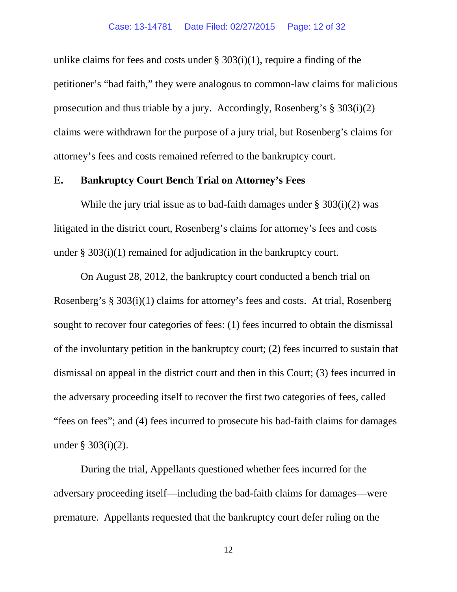unlike claims for fees and costs under  $\S 303(i)(1)$ , require a finding of the petitioner's "bad faith," they were analogous to common-law claims for malicious prosecution and thus triable by a jury. Accordingly, Rosenberg's  $\S 303(i)(2)$ claims were withdrawn for the purpose of a jury trial, but Rosenberg's claims for attorney's fees and costs remained referred to the bankruptcy court.

### **E. Bankruptcy Court Bench Trial on Attorney's Fees**

While the jury trial issue as to bad-faith damages under  $\S 303(i)(2)$  was litigated in the district court, Rosenberg's claims for attorney's fees and costs under § 303(i)(1) remained for adjudication in the bankruptcy court.

On August 28, 2012, the bankruptcy court conducted a bench trial on Rosenberg's § 303(i)(1) claims for attorney's fees and costs. At trial, Rosenberg sought to recover four categories of fees: (1) fees incurred to obtain the dismissal of the involuntary petition in the bankruptcy court; (2) fees incurred to sustain that dismissal on appeal in the district court and then in this Court; (3) fees incurred in the adversary proceeding itself to recover the first two categories of fees, called "fees on fees"; and (4) fees incurred to prosecute his bad-faith claims for damages under § 303(i)(2).

During the trial, Appellants questioned whether fees incurred for the adversary proceeding itself—including the bad-faith claims for damages—were premature. Appellants requested that the bankruptcy court defer ruling on the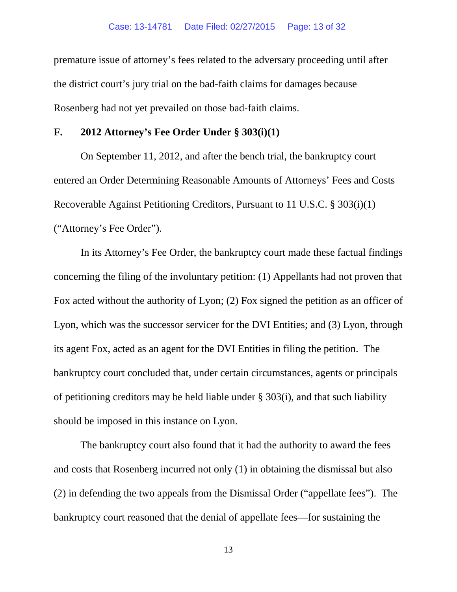premature issue of attorney's fees related to the adversary proceeding until after the district court's jury trial on the bad-faith claims for damages because Rosenberg had not yet prevailed on those bad-faith claims.

### **F. 2012 Attorney's Fee Order Under § 303(i)(1)**

On September 11, 2012, and after the bench trial, the bankruptcy court entered an Order Determining Reasonable Amounts of Attorneys' Fees and Costs Recoverable Against Petitioning Creditors, Pursuant to 11 U.S.C. § 303(i)(1) ("Attorney's Fee Order").

In its Attorney's Fee Order, the bankruptcy court made these factual findings concerning the filing of the involuntary petition: (1) Appellants had not proven that Fox acted without the authority of Lyon; (2) Fox signed the petition as an officer of Lyon, which was the successor servicer for the DVI Entities; and (3) Lyon, through its agent Fox, acted as an agent for the DVI Entities in filing the petition. The bankruptcy court concluded that, under certain circumstances, agents or principals of petitioning creditors may be held liable under § 303(i), and that such liability should be imposed in this instance on Lyon.

The bankruptcy court also found that it had the authority to award the fees and costs that Rosenberg incurred not only (1) in obtaining the dismissal but also (2) in defending the two appeals from the Dismissal Order ("appellate fees"). The bankruptcy court reasoned that the denial of appellate fees—for sustaining the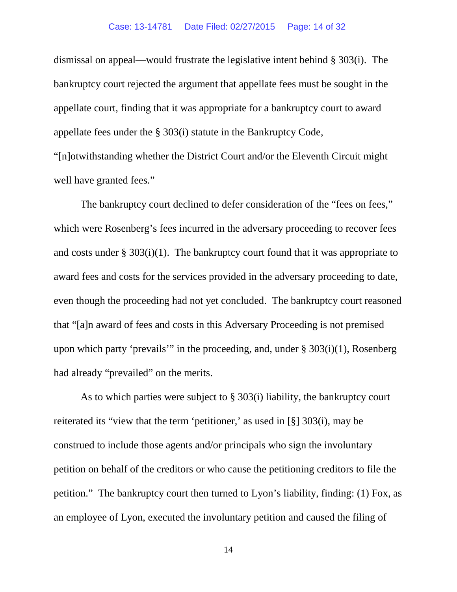dismissal on appeal—would frustrate the legislative intent behind § 303(i). The bankruptcy court rejected the argument that appellate fees must be sought in the appellate court, finding that it was appropriate for a bankruptcy court to award appellate fees under the § 303(i) statute in the Bankruptcy Code, "[n]otwithstanding whether the District Court and/or the Eleventh Circuit might

well have granted fees."

The bankruptcy court declined to defer consideration of the "fees on fees," which were Rosenberg's fees incurred in the adversary proceeding to recover fees and costs under  $\S 303(i)(1)$ . The bankruptcy court found that it was appropriate to award fees and costs for the services provided in the adversary proceeding to date, even though the proceeding had not yet concluded. The bankruptcy court reasoned that "[a]n award of fees and costs in this Adversary Proceeding is not premised upon which party 'prevails'" in the proceeding, and, under § 303(i)(1), Rosenberg had already "prevailed" on the merits.

As to which parties were subject to § 303(i) liability, the bankruptcy court reiterated its "view that the term 'petitioner,' as used in [§] 303(i), may be construed to include those agents and/or principals who sign the involuntary petition on behalf of the creditors or who cause the petitioning creditors to file the petition." The bankruptcy court then turned to Lyon's liability, finding: (1) Fox, as an employee of Lyon, executed the involuntary petition and caused the filing of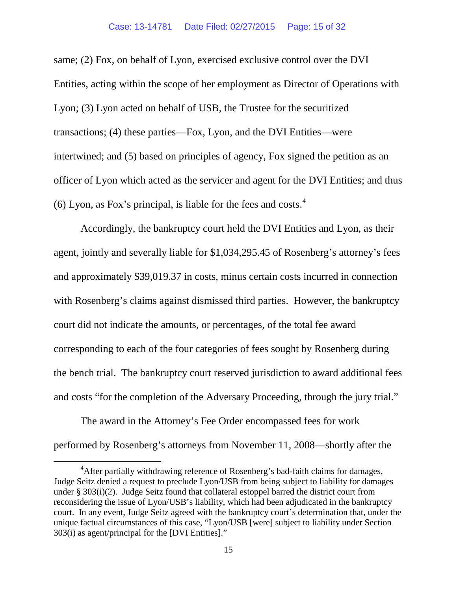same; (2) Fox, on behalf of Lyon, exercised exclusive control over the DVI Entities, acting within the scope of her employment as Director of Operations with Lyon; (3) Lyon acted on behalf of USB, the Trustee for the securitized transactions; (4) these parties—Fox, Lyon, and the DVI Entities—were intertwined; and (5) based on principles of agency, Fox signed the petition as an officer of Lyon which acted as the servicer and agent for the DVI Entities; and thus  $(6)$  Lyon, as Fox's principal, is liable for the fees and costs.<sup>[4](#page-14-0)</sup>

Accordingly, the bankruptcy court held the DVI Entities and Lyon, as their agent, jointly and severally liable for \$1,034,295.45 of Rosenberg's attorney's fees and approximately \$39,019.37 in costs, minus certain costs incurred in connection with Rosenberg's claims against dismissed third parties. However, the bankruptcy court did not indicate the amounts, or percentages, of the total fee award corresponding to each of the four categories of fees sought by Rosenberg during the bench trial. The bankruptcy court reserved jurisdiction to award additional fees and costs "for the completion of the Adversary Proceeding, through the jury trial."

The award in the Attorney's Fee Order encompassed fees for work performed by Rosenberg's attorneys from November 11, 2008—shortly after the

<span id="page-14-0"></span> $\frac{1}{4}$ <sup>4</sup> After partially withdrawing reference of Rosenberg's bad-faith claims for damages, Judge Seitz denied a request to preclude Lyon/USB from being subject to liability for damages under § 303(i)(2). Judge Seitz found that collateral estoppel barred the district court from reconsidering the issue of Lyon/USB's liability, which had been adjudicated in the bankruptcy court. In any event, Judge Seitz agreed with the bankruptcy court's determination that, under the unique factual circumstances of this case, "Lyon/USB [were] subject to liability under Section 303(i) as agent/principal for the [DVI Entities]."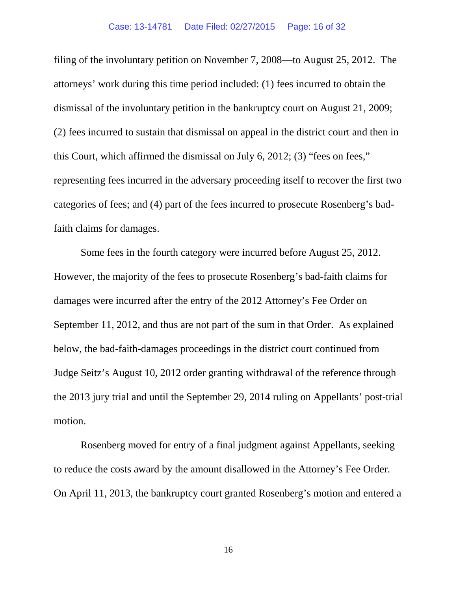filing of the involuntary petition on November 7, 2008—to August 25, 2012. The attorneys' work during this time period included: (1) fees incurred to obtain the dismissal of the involuntary petition in the bankruptcy court on August 21, 2009; (2) fees incurred to sustain that dismissal on appeal in the district court and then in this Court, which affirmed the dismissal on July 6, 2012; (3) "fees on fees," representing fees incurred in the adversary proceeding itself to recover the first two categories of fees; and (4) part of the fees incurred to prosecute Rosenberg's badfaith claims for damages.

Some fees in the fourth category were incurred before August 25, 2012. However, the majority of the fees to prosecute Rosenberg's bad-faith claims for damages were incurred after the entry of the 2012 Attorney's Fee Order on September 11, 2012, and thus are not part of the sum in that Order. As explained below, the bad-faith-damages proceedings in the district court continued from Judge Seitz's August 10, 2012 order granting withdrawal of the reference through the 2013 jury trial and until the September 29, 2014 ruling on Appellants' post-trial motion.

Rosenberg moved for entry of a final judgment against Appellants, seeking to reduce the costs award by the amount disallowed in the Attorney's Fee Order. On April 11, 2013, the bankruptcy court granted Rosenberg's motion and entered a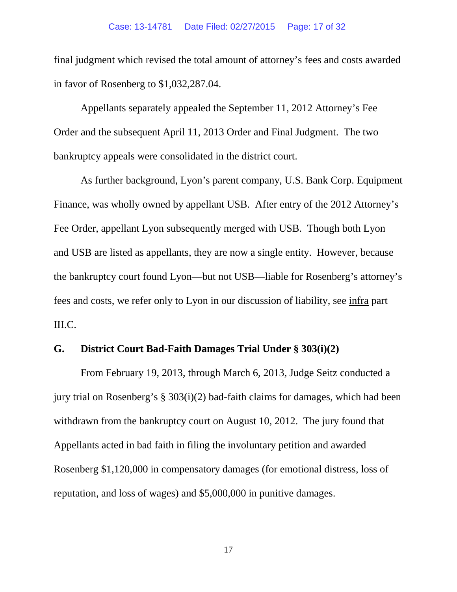final judgment which revised the total amount of attorney's fees and costs awarded in favor of Rosenberg to \$1,032,287.04.

Appellants separately appealed the September 11, 2012 Attorney's Fee Order and the subsequent April 11, 2013 Order and Final Judgment. The two bankruptcy appeals were consolidated in the district court.

As further background, Lyon's parent company, U.S. Bank Corp. Equipment Finance, was wholly owned by appellant USB. After entry of the 2012 Attorney's Fee Order, appellant Lyon subsequently merged with USB. Though both Lyon and USB are listed as appellants, they are now a single entity. However, because the bankruptcy court found Lyon—but not USB—liable for Rosenberg's attorney's fees and costs, we refer only to Lyon in our discussion of liability, see infra part III.C.

## **G. District Court Bad-Faith Damages Trial Under § 303(i)(2)**

From February 19, 2013, through March 6, 2013, Judge Seitz conducted a jury trial on Rosenberg's § 303(i)(2) bad-faith claims for damages, which had been withdrawn from the bankruptcy court on August 10, 2012. The jury found that Appellants acted in bad faith in filing the involuntary petition and awarded Rosenberg \$1,120,000 in compensatory damages (for emotional distress, loss of reputation, and loss of wages) and \$5,000,000 in punitive damages.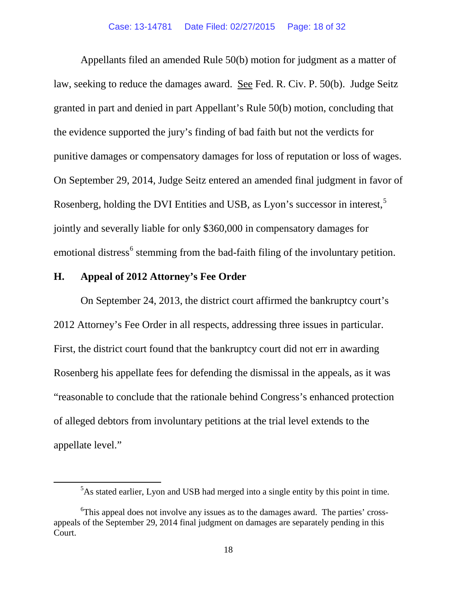Appellants filed an amended Rule 50(b) motion for judgment as a matter of law, seeking to reduce the damages award. See Fed. R. Civ. P. 50(b). Judge Seitz granted in part and denied in part Appellant's Rule 50(b) motion, concluding that the evidence supported the jury's finding of bad faith but not the verdicts for punitive damages or compensatory damages for loss of reputation or loss of wages. On September 29, 2014, Judge Seitz entered an amended final judgment in favor of Rosenberg, holding the DVI Entities and USB, as Lyon's successor in interest,[5](#page-17-0) jointly and severally liable for only \$360,000 in compensatory damages for emotional distress<sup>[6](#page-17-1)</sup> stemming from the bad-faith filing of the involuntary petition.

### **H. Appeal of 2012 Attorney's Fee Order**

On September 24, 2013, the district court affirmed the bankruptcy court's 2012 Attorney's Fee Order in all respects, addressing three issues in particular. First, the district court found that the bankruptcy court did not err in awarding Rosenberg his appellate fees for defending the dismissal in the appeals, as it was "reasonable to conclude that the rationale behind Congress's enhanced protection of alleged debtors from involuntary petitions at the trial level extends to the appellate level."

<span id="page-17-0"></span> $rac{1}{5}$ <sup>5</sup>As stated earlier, Lyon and USB had merged into a single entity by this point in time.

<span id="page-17-1"></span><sup>&</sup>lt;sup>6</sup>This appeal does not involve any issues as to the damages award. The parties' crossappeals of the September 29, 2014 final judgment on damages are separately pending in this Court.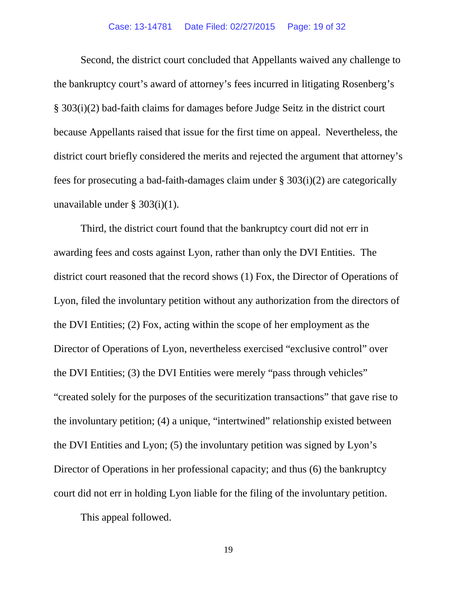Second, the district court concluded that Appellants waived any challenge to the bankruptcy court's award of attorney's fees incurred in litigating Rosenberg's § 303(i)(2) bad-faith claims for damages before Judge Seitz in the district court because Appellants raised that issue for the first time on appeal. Nevertheless, the district court briefly considered the merits and rejected the argument that attorney's fees for prosecuting a bad-faith-damages claim under § 303(i)(2) are categorically unavailable under § 303(i)(1).

Third, the district court found that the bankruptcy court did not err in awarding fees and costs against Lyon, rather than only the DVI Entities. The district court reasoned that the record shows (1) Fox, the Director of Operations of Lyon, filed the involuntary petition without any authorization from the directors of the DVI Entities; (2) Fox, acting within the scope of her employment as the Director of Operations of Lyon, nevertheless exercised "exclusive control" over the DVI Entities; (3) the DVI Entities were merely "pass through vehicles" "created solely for the purposes of the securitization transactions" that gave rise to the involuntary petition; (4) a unique, "intertwined" relationship existed between the DVI Entities and Lyon; (5) the involuntary petition was signed by Lyon's Director of Operations in her professional capacity; and thus (6) the bankruptcy court did not err in holding Lyon liable for the filing of the involuntary petition.

This appeal followed.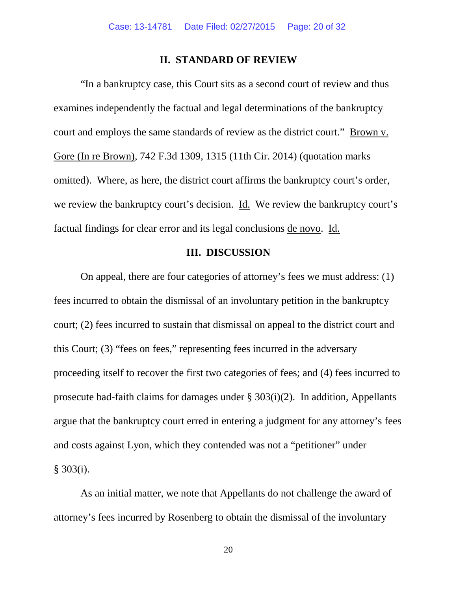#### **II. STANDARD OF REVIEW**

"In a bankruptcy case, this Court sits as a second court of review and thus examines independently the factual and legal determinations of the bankruptcy court and employs the same standards of review as the district court." Brown v. Gore (In re Brown), 742 F.3d 1309, 1315 (11th Cir. 2014) (quotation marks omitted). Where, as here, the district court affirms the bankruptcy court's order, we review the bankruptcy court's decision. Id. We review the bankruptcy court's factual findings for clear error and its legal conclusions de novo. Id.

### **III. DISCUSSION**

On appeal, there are four categories of attorney's fees we must address: (1) fees incurred to obtain the dismissal of an involuntary petition in the bankruptcy court; (2) fees incurred to sustain that dismissal on appeal to the district court and this Court; (3) "fees on fees," representing fees incurred in the adversary proceeding itself to recover the first two categories of fees; and (4) fees incurred to prosecute bad-faith claims for damages under § 303(i)(2). In addition, Appellants argue that the bankruptcy court erred in entering a judgment for any attorney's fees and costs against Lyon, which they contended was not a "petitioner" under § 303(i).

As an initial matter, we note that Appellants do not challenge the award of attorney's fees incurred by Rosenberg to obtain the dismissal of the involuntary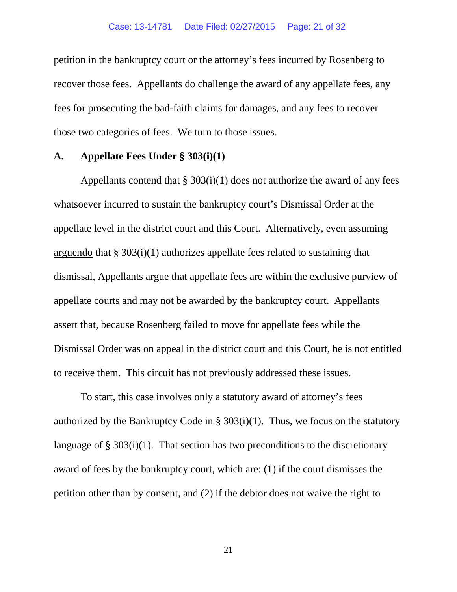petition in the bankruptcy court or the attorney's fees incurred by Rosenberg to recover those fees. Appellants do challenge the award of any appellate fees, any fees for prosecuting the bad-faith claims for damages, and any fees to recover those two categories of fees. We turn to those issues.

### **A. Appellate Fees Under § 303(i)(1)**

Appellants contend that  $\S 303(i)(1)$  does not authorize the award of any fees whatsoever incurred to sustain the bankruptcy court's Dismissal Order at the appellate level in the district court and this Court. Alternatively, even assuming arguendo that  $\S 303(i)(1)$  authorizes appellate fees related to sustaining that dismissal, Appellants argue that appellate fees are within the exclusive purview of appellate courts and may not be awarded by the bankruptcy court. Appellants assert that, because Rosenberg failed to move for appellate fees while the Dismissal Order was on appeal in the district court and this Court, he is not entitled to receive them. This circuit has not previously addressed these issues.

To start, this case involves only a statutory award of attorney's fees authorized by the Bankruptcy Code in § 303(i)(1). Thus, we focus on the statutory language of  $\S 303(i)(1)$ . That section has two preconditions to the discretionary award of fees by the bankruptcy court, which are: (1) if the court dismisses the petition other than by consent, and (2) if the debtor does not waive the right to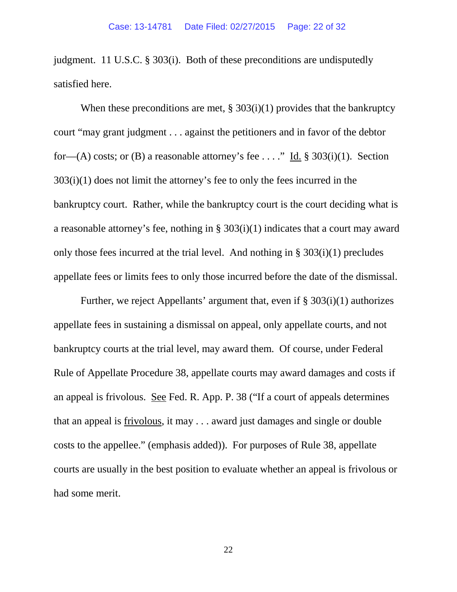judgment. 11 U.S.C. § 303(i). Both of these preconditions are undisputedly satisfied here.

When these preconditions are met,  $\S 303(i)(1)$  provides that the bankruptcy court "may grant judgment . . . against the petitioners and in favor of the debtor for—(A) costs; or (B) a reasonable attorney's fee . . . ." Id. § 303(i)(1). Section 303(i)(1) does not limit the attorney's fee to only the fees incurred in the bankruptcy court. Rather, while the bankruptcy court is the court deciding what is a reasonable attorney's fee, nothing in § 303(i)(1) indicates that a court may award only those fees incurred at the trial level. And nothing in § 303(i)(1) precludes appellate fees or limits fees to only those incurred before the date of the dismissal.

Further, we reject Appellants' argument that, even if § 303(i)(1) authorizes appellate fees in sustaining a dismissal on appeal, only appellate courts, and not bankruptcy courts at the trial level, may award them. Of course, under Federal Rule of Appellate Procedure 38, appellate courts may award damages and costs if an appeal is frivolous. See Fed. R. App. P. 38 ("If a court of appeals determines that an appeal is frivolous, it may . . . award just damages and single or double costs to the appellee." (emphasis added)). For purposes of Rule 38, appellate courts are usually in the best position to evaluate whether an appeal is frivolous or had some merit.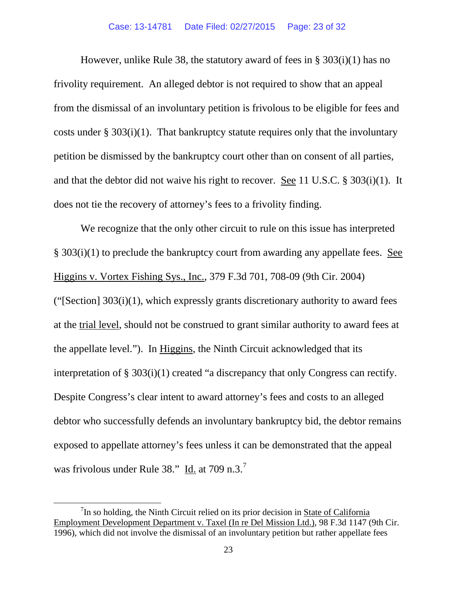However, unlike Rule 38, the statutory award of fees in § 303(i)(1) has no frivolity requirement. An alleged debtor is not required to show that an appeal from the dismissal of an involuntary petition is frivolous to be eligible for fees and costs under  $\S 303(i)(1)$ . That bankruptcy statute requires only that the involuntary petition be dismissed by the bankruptcy court other than on consent of all parties, and that the debtor did not waive his right to recover. See 11 U.S.C. § 303(i)(1). It does not tie the recovery of attorney's fees to a frivolity finding.

We recognize that the only other circuit to rule on this issue has interpreted § 303(i)(1) to preclude the bankruptcy court from awarding any appellate fees. See Higgins v. Vortex Fishing Sys., Inc., 379 F.3d 701, 708-09 (9th Cir. 2004) (" $[Section] 303(i)(1)$ , which expressly grants discretionary authority to award fees at the trial level, should not be construed to grant similar authority to award fees at the appellate level."). In Higgins, the Ninth Circuit acknowledged that its interpretation of § 303(i)(1) created "a discrepancy that only Congress can rectify. Despite Congress's clear intent to award attorney's fees and costs to an alleged debtor who successfully defends an involuntary bankruptcy bid, the debtor remains exposed to appellate attorney's fees unless it can be demonstrated that the appeal was frivolous under Rule 38."  $\underline{Id}$  at [7](#page-22-0)09 n.3.<sup>7</sup>

<span id="page-22-0"></span> $\overline{7}$  ${}^{7}$ In so holding, the Ninth Circuit relied on its prior decision in State of California Employment Development Department v. Taxel (In re Del Mission Ltd.), 98 F.3d 1147 (9th Cir. 1996), which did not involve the dismissal of an involuntary petition but rather appellate fees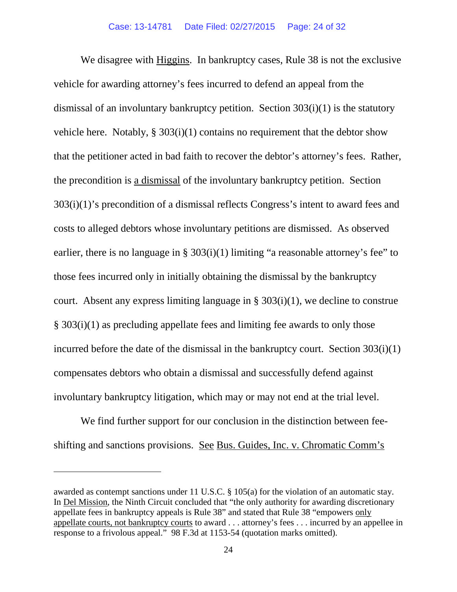We disagree with Higgins. In bankruptcy cases, Rule 38 is not the exclusive vehicle for awarding attorney's fees incurred to defend an appeal from the dismissal of an involuntary bankruptcy petition. Section 303(i)(1) is the statutory vehicle here. Notably,  $\S 303(i)(1)$  contains no requirement that the debtor show that the petitioner acted in bad faith to recover the debtor's attorney's fees. Rather, the precondition is a dismissal of the involuntary bankruptcy petition. Section 303(i)(1)'s precondition of a dismissal reflects Congress's intent to award fees and costs to alleged debtors whose involuntary petitions are dismissed. As observed earlier, there is no language in § 303(i)(1) limiting "a reasonable attorney's fee" to those fees incurred only in initially obtaining the dismissal by the bankruptcy court. Absent any express limiting language in  $\S 303(i)(1)$ , we decline to construe § 303(i)(1) as precluding appellate fees and limiting fee awards to only those incurred before the date of the dismissal in the bankruptcy court. Section 303(i)(1) compensates debtors who obtain a dismissal and successfully defend against involuntary bankruptcy litigation, which may or may not end at the trial level.

We find further support for our conclusion in the distinction between feeshifting and sanctions provisions. See Bus. Guides, Inc. v. Chromatic Comm's

 $\overline{a}$ 

awarded as contempt sanctions under 11 U.S.C. § 105(a) for the violation of an automatic stay. In Del Mission, the Ninth Circuit concluded that "the only authority for awarding discretionary appellate fees in bankruptcy appeals is Rule 38" and stated that Rule 38 "empowers only appellate courts, not bankruptcy courts to award . . . attorney's fees . . . incurred by an appellee in response to a frivolous appeal." 98 F.3d at 1153-54 (quotation marks omitted).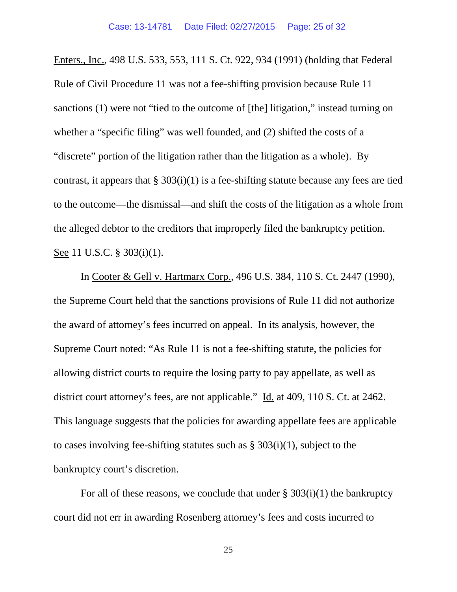Enters., Inc., 498 U.S. 533, 553, 111 S. Ct. 922, 934 (1991) (holding that Federal Rule of Civil Procedure 11 was not a fee-shifting provision because Rule 11 sanctions (1) were not "tied to the outcome of [the] litigation," instead turning on whether a "specific filing" was well founded, and (2) shifted the costs of a "discrete" portion of the litigation rather than the litigation as a whole). By contrast, it appears that  $\S 303(i)(1)$  is a fee-shifting statute because any fees are tied to the outcome—the dismissal—and shift the costs of the litigation as a whole from the alleged debtor to the creditors that improperly filed the bankruptcy petition. See 11 U.S.C. § 303(i)(1).

In Cooter & Gell v. Hartmarx Corp., 496 U.S. 384, 110 S. Ct. 2447 (1990), the Supreme Court held that the sanctions provisions of Rule 11 did not authorize the award of attorney's fees incurred on appeal. In its analysis, however, the Supreme Court noted: "As Rule 11 is not a fee-shifting statute, the policies for allowing district courts to require the losing party to pay appellate, as well as district court attorney's fees, are not applicable." Id. at 409, 110 S. Ct. at 2462. This language suggests that the policies for awarding appellate fees are applicable to cases involving fee-shifting statutes such as  $\S 303(i)(1)$ , subject to the bankruptcy court's discretion.

For all of these reasons, we conclude that under  $\S 303(i)(1)$  the bankruptcy court did not err in awarding Rosenberg attorney's fees and costs incurred to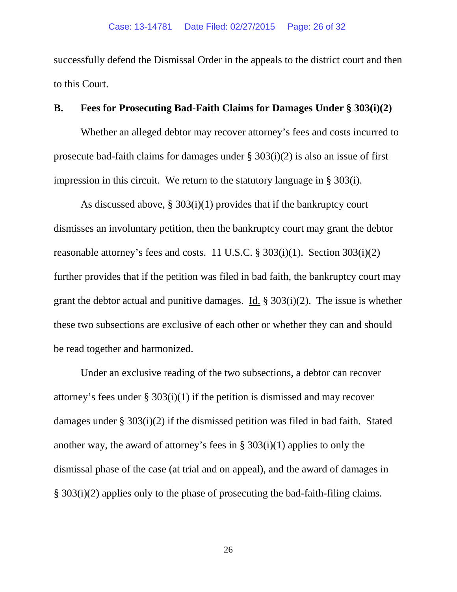successfully defend the Dismissal Order in the appeals to the district court and then to this Court.

### **B. Fees for Prosecuting Bad-Faith Claims for Damages Under § 303(i)(2)**

Whether an alleged debtor may recover attorney's fees and costs incurred to prosecute bad-faith claims for damages under § 303(i)(2) is also an issue of first impression in this circuit. We return to the statutory language in § 303(i).

As discussed above,  $\S 303(i)(1)$  provides that if the bankruptcy court dismisses an involuntary petition, then the bankruptcy court may grant the debtor reasonable attorney's fees and costs. 11 U.S.C. § 303(i)(1). Section 303(i)(2) further provides that if the petition was filed in bad faith, the bankruptcy court may grant the debtor actual and punitive damages. Id. § 303(i)(2). The issue is whether these two subsections are exclusive of each other or whether they can and should be read together and harmonized.

Under an exclusive reading of the two subsections, a debtor can recover attorney's fees under § 303(i)(1) if the petition is dismissed and may recover damages under § 303(i)(2) if the dismissed petition was filed in bad faith. Stated another way, the award of attorney's fees in § 303(i)(1) applies to only the dismissal phase of the case (at trial and on appeal), and the award of damages in § 303(i)(2) applies only to the phase of prosecuting the bad-faith-filing claims.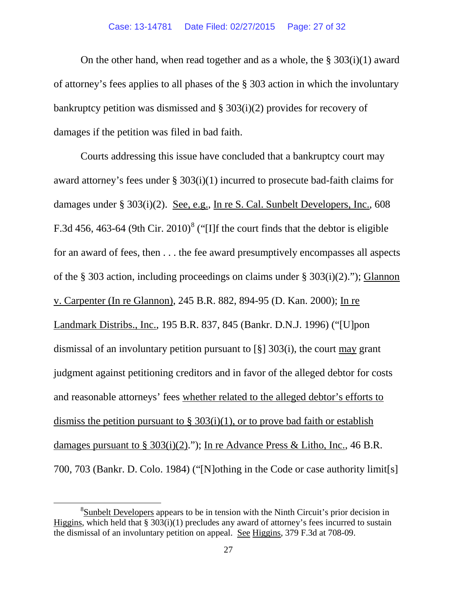#### Case: 13-14781 Date Filed: 02/27/2015 Page: 27 of 32

On the other hand, when read together and as a whole, the  $\S 303(i)(1)$  award of attorney's fees applies to all phases of the § 303 action in which the involuntary bankruptcy petition was dismissed and § 303(i)(2) provides for recovery of damages if the petition was filed in bad faith.

Courts addressing this issue have concluded that a bankruptcy court may award attorney's fees under § 303(i)(1) incurred to prosecute bad-faith claims for damages under § 303(i)(2). See, e.g., In re S. Cal. Sunbelt Developers, Inc., 608 F.3d 456, 463-64 (9th Cir. 2010)<sup>[8](#page-26-0)</sup> ("[I]f the court finds that the debtor is eligible for an award of fees, then . . . the fee award presumptively encompasses all aspects of the § 303 action, including proceedings on claims under § 303(i)(2)."); Glannon v. Carpenter (In re Glannon), 245 B.R. 882, 894-95 (D. Kan. 2000); In re Landmark Distribs., Inc., 195 B.R. 837, 845 (Bankr. D.N.J. 1996) ("[U]pon dismissal of an involuntary petition pursuant to [§] 303(i), the court may grant judgment against petitioning creditors and in favor of the alleged debtor for costs and reasonable attorneys' fees whether related to the alleged debtor's efforts to dismiss the petition pursuant to  $\S 303(i)(1)$ , or to prove bad faith or establish damages pursuant to § 303(i)(2)."); In re Advance Press & Litho, Inc., 46 B.R. 700, 703 (Bankr. D. Colo. 1984) ("[N]othing in the Code or case authority limit[s]

<span id="page-26-0"></span> <sup>8</sup> <sup>8</sup>Sunbelt Developers appears to be in tension with the Ninth Circuit's prior decision in Higgins, which held that  $\S 303(i)(1)$  precludes any award of attorney's fees incurred to sustain the dismissal of an involuntary petition on appeal. See Higgins, 379 F.3d at 708-09.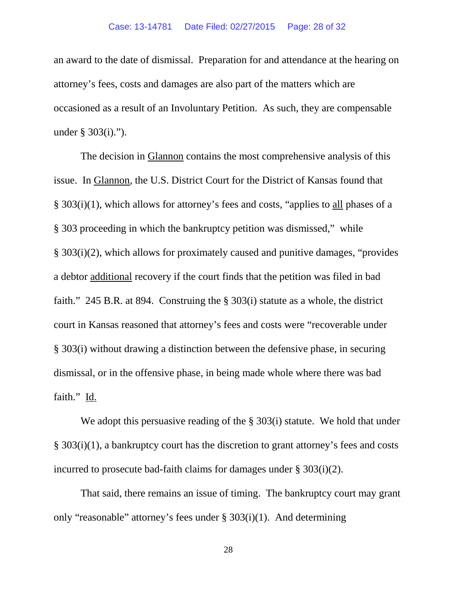#### Case: 13-14781 Date Filed: 02/27/2015 Page: 28 of 32

an award to the date of dismissal. Preparation for and attendance at the hearing on attorney's fees, costs and damages are also part of the matters which are occasioned as a result of an Involuntary Petition. As such, they are compensable under § 303(i).").

The decision in Glannon contains the most comprehensive analysis of this issue. In Glannon, the U.S. District Court for the District of Kansas found that § 303(i)(1), which allows for attorney's fees and costs, "applies to all phases of a § 303 proceeding in which the bankruptcy petition was dismissed," while § 303(i)(2), which allows for proximately caused and punitive damages, "provides a debtor additional recovery if the court finds that the petition was filed in bad faith." 245 B.R. at 894. Construing the § 303(i) statute as a whole, the district court in Kansas reasoned that attorney's fees and costs were "recoverable under § 303(i) without drawing a distinction between the defensive phase, in securing dismissal, or in the offensive phase, in being made whole where there was bad faith." Id.

We adopt this persuasive reading of the § 303(i) statute. We hold that under § 303(i)(1), a bankruptcy court has the discretion to grant attorney's fees and costs incurred to prosecute bad-faith claims for damages under § 303(i)(2).

That said, there remains an issue of timing. The bankruptcy court may grant only "reasonable" attorney's fees under  $\S 303(i)(1)$ . And determining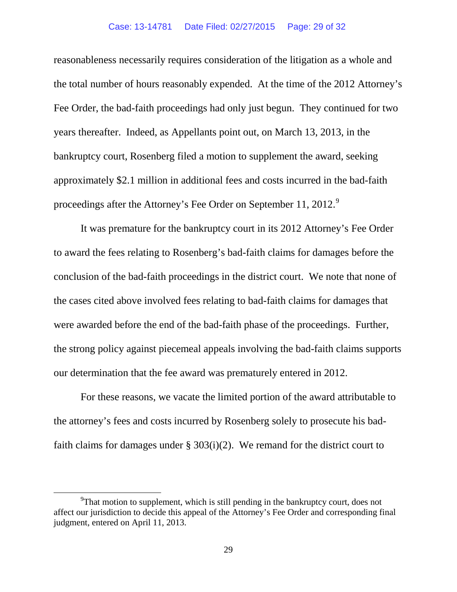#### Case: 13-14781 Date Filed: 02/27/2015 Page: 29 of 32

reasonableness necessarily requires consideration of the litigation as a whole and the total number of hours reasonably expended. At the time of the 2012 Attorney's Fee Order, the bad-faith proceedings had only just begun. They continued for two years thereafter. Indeed, as Appellants point out, on March 13, 2013, in the bankruptcy court, Rosenberg filed a motion to supplement the award, seeking approximately \$2.1 million in additional fees and costs incurred in the bad-faith proceedings after the Attorney's Fee Order on September 11, 2012.<sup>[9](#page-28-0)</sup>

It was premature for the bankruptcy court in its 2012 Attorney's Fee Order to award the fees relating to Rosenberg's bad-faith claims for damages before the conclusion of the bad-faith proceedings in the district court. We note that none of the cases cited above involved fees relating to bad-faith claims for damages that were awarded before the end of the bad-faith phase of the proceedings. Further, the strong policy against piecemeal appeals involving the bad-faith claims supports our determination that the fee award was prematurely entered in 2012.

For these reasons, we vacate the limited portion of the award attributable to the attorney's fees and costs incurred by Rosenberg solely to prosecute his badfaith claims for damages under  $\S 303(i)(2)$ . We remand for the district court to

<span id="page-28-0"></span> <sup>9</sup>  $\rm{P}$ That motion to supplement, which is still pending in the bankruptcy court, does not affect our jurisdiction to decide this appeal of the Attorney's Fee Order and corresponding final judgment, entered on April 11, 2013.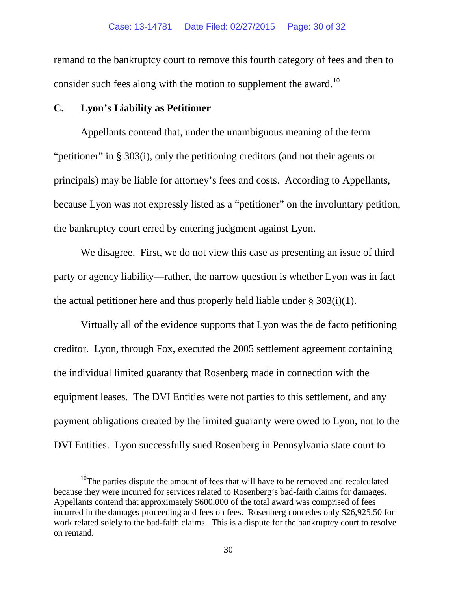remand to the bankruptcy court to remove this fourth category of fees and then to consider such fees along with the motion to supplement the award.<sup>[10](#page-29-0)</sup>

## **C. Lyon's Liability as Petitioner**

Appellants contend that, under the unambiguous meaning of the term "petitioner" in § 303(i), only the petitioning creditors (and not their agents or principals) may be liable for attorney's fees and costs. According to Appellants, because Lyon was not expressly listed as a "petitioner" on the involuntary petition, the bankruptcy court erred by entering judgment against Lyon.

We disagree. First, we do not view this case as presenting an issue of third party or agency liability—rather, the narrow question is whether Lyon was in fact the actual petitioner here and thus properly held liable under  $\S 303(i)(1)$ .

Virtually all of the evidence supports that Lyon was the de facto petitioning creditor. Lyon, through Fox, executed the 2005 settlement agreement containing the individual limited guaranty that Rosenberg made in connection with the equipment leases. The DVI Entities were not parties to this settlement, and any payment obligations created by the limited guaranty were owed to Lyon, not to the DVI Entities. Lyon successfully sued Rosenberg in Pennsylvania state court to

<span id="page-29-0"></span> $10$ <sup>10</sup>The parties dispute the amount of fees that will have to be removed and recalculated because they were incurred for services related to Rosenberg's bad-faith claims for damages. Appellants contend that approximately \$600,000 of the total award was comprised of fees incurred in the damages proceeding and fees on fees. Rosenberg concedes only \$26,925.50 for work related solely to the bad-faith claims. This is a dispute for the bankruptcy court to resolve on remand.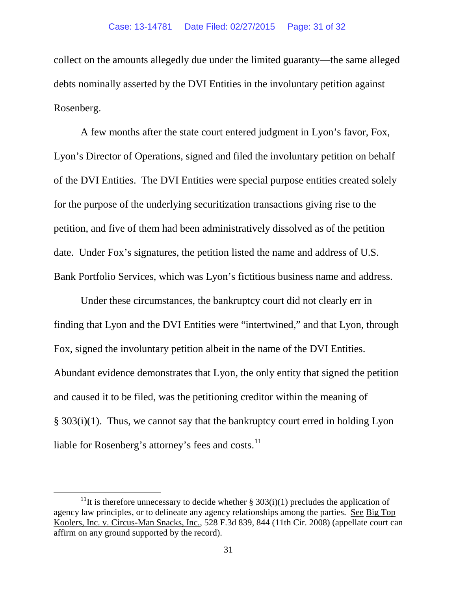collect on the amounts allegedly due under the limited guaranty—the same alleged debts nominally asserted by the DVI Entities in the involuntary petition against Rosenberg.

A few months after the state court entered judgment in Lyon's favor, Fox, Lyon's Director of Operations, signed and filed the involuntary petition on behalf of the DVI Entities. The DVI Entities were special purpose entities created solely for the purpose of the underlying securitization transactions giving rise to the petition, and five of them had been administratively dissolved as of the petition date. Under Fox's signatures, the petition listed the name and address of U.S. Bank Portfolio Services, which was Lyon's fictitious business name and address.

Under these circumstances, the bankruptcy court did not clearly err in finding that Lyon and the DVI Entities were "intertwined," and that Lyon, through Fox, signed the involuntary petition albeit in the name of the DVI Entities. Abundant evidence demonstrates that Lyon, the only entity that signed the petition and caused it to be filed, was the petitioning creditor within the meaning of § 303(i)(1). Thus, we cannot say that the bankruptcy court erred in holding Lyon liable for Rosenberg's attorney's fees and costs.<sup>[11](#page-30-0)</sup>

<span id="page-30-0"></span><sup>&</sup>lt;sup>11</sup>It is therefore unnecessary to decide whether § 303(i)(1) precludes the application of agency law principles, or to delineate any agency relationships among the parties. See Big Top Koolers, Inc. v. Circus-Man Snacks, Inc., 528 F.3d 839, 844 (11th Cir. 2008) (appellate court can affirm on any ground supported by the record).